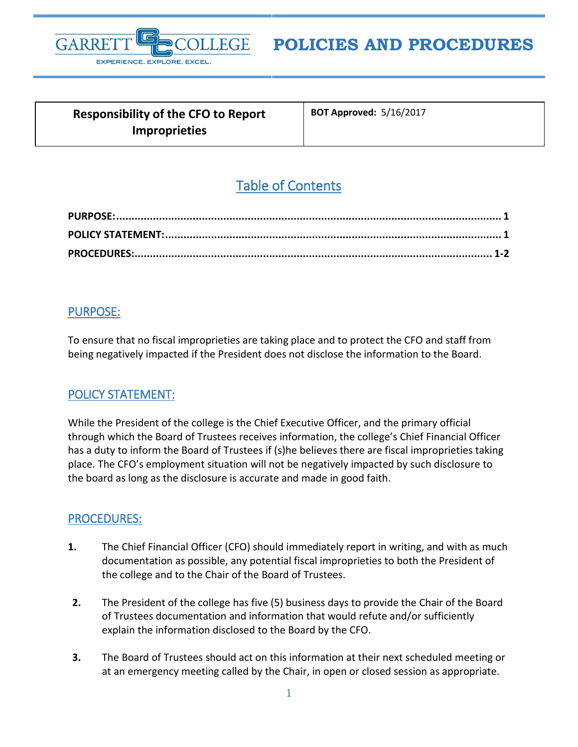

# **POLICIES AND PROCEDURES**

| <b>Responsibility of the CFO to Report</b> |  |
|--------------------------------------------|--|
| <b>Improprieties</b>                       |  |

**BOT Approved:** 5/16/2017

## Table of Contents

#### <span id="page-0-0"></span>PURPOSE:

To ensure that no fiscal improprieties are taking place and to protect the CFO and staff from being negatively impacted if the President does not disclose the information to the Board.

### <span id="page-0-1"></span>POLICY STATEMENT:

While the President of the college is the Chief Executive Officer, and the primary official through which the Board of Trustees receives information, the college's Chief Financial Officer has a duty to inform the Board of Trustees if (s)he believes there are fiscal improprieties taking place. The CFO's employment situation will not be negatively impacted by such disclosure to the board as long as the disclosure is accurate and made in good faith.

#### <span id="page-0-2"></span>PROCEDURES:

- **1.** The Chief Financial Officer (CFO) should immediately report in writing, and with as much documentation as possible, any potential fiscal improprieties to both the President of the college and to the Chair of the Board of Trustees.
- **2.** The President of the college has five (5) business days to provide the Chair of the Board of Trustees documentation and information that would refute and/or sufficiently explain the information disclosed to the Board by the CFO.
- **3.** The Board of Trustees should act on this information at their next scheduled meeting or at an emergency meeting called by the Chair, in open or closed session as appropriate.